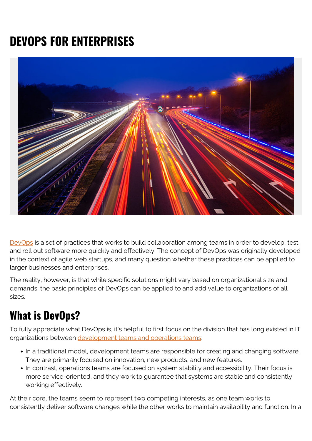# **DEVOPS FOR ENTERPRISES**



[DevOps](https://blogs.bmc.com/blogs/devops-basics-introduction/) is a set of practices that works to build collaboration among teams in order to develop, test, and roll out software more quickly and effectively. The concept of DevOps was originally developed in the context of agile web startups, and many question whether these practices can be applied to larger businesses and enterprises.

The reality, however, is that while specific solutions might vary based on organizational size and demands, the basic principles of DevOps can be applied to and add value to organizations of all sizes.

# **What is DevOps?**

To fully appreciate what DevOps is, it's helpful to first focus on the division that has long existed in IT organizations between [development teams and operations teams](https://blogs.bmc.com/blogs/it-teams/):

- In a traditional model, development teams are responsible for creating and changing software. They are primarily focused on innovation, new products, and new features.
- In contrast, operations teams are focused on system stability and accessibility. Their focus is more service-oriented, and they work to guarantee that systems are stable and consistently working effectively.

At their core, the teams seem to represent two competing interests, as one team works to consistently deliver software changes while the other works to maintain availability and function. In a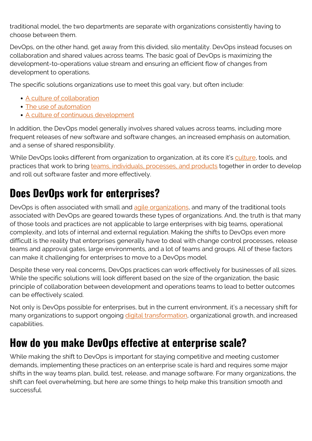traditional model, the two departments are separate with organizations consistently having to choose between them.

DevOps, on the other hand, get away from this divided, silo mentality. DevOps instead focuses on collaboration and shared values across teams. The basic goal of DevOps is maximizing the development-to-operations value stream and ensuring an efficient flow of changes from development to operations.

The specific solutions organizations use to meet this goal vary, but often include:

- [A culture of collaboration](https://blogs.bmc.com/blogs/6-ways-to-improve-it-business-collaboration/)
- [The use of automation](https://blogs.bmc.com/blogs/it-automation/)
- [A culture of continuous development](https://blogs.bmc.com/blogs/what-is-ci-cd/)

In addition, the DevOps model generally involves shared values across teams, including more frequent releases of new software and software changes, an increased emphasis on automation, and a sense of shared responsibility.

While DevOps looks different from organization to organization, at its core it's [culture,](https://www.bmc.com/blogs/devops-culture/) tools, and practices that work to bring [teams, individuals, processes, and products](https://blogs.bmc.com/blogs/people-process-technology/) together in order to develop and roll out software faster and more effectively.

# **Does DevOps work for enterprises?**

DevOps is often associated with small and [agile organizations,](https://blogs.bmc.com/blogs/agile-vs-waterfall/) and many of the traditional tools associated with DevOps are geared towards these types of organizations. And, the truth is that many of those tools and practices are not applicable to large enterprises with big teams, operational complexity, and lots of internal and external regulation. Making the shifts to DevOps even more difficult is the reality that enterprises generally have to deal with change control processes, release teams and approval gates, large environments, and a lot of teams and groups. All of these factors can make it challenging for enterprises to move to a DevOps model.

Despite these very real concerns, DevOps practices can work effectively for businesses of all sizes. While the specific solutions will look different based on the size of the organization, the basic principle of collaboration between development and operations teams to lead to better outcomes can be effectively scaled.

Not only is DevOps possible for enterprises, but in the current environment, it's a necessary shift for many organizations to support ongoing [digital transformation](https://blogs.bmc.com/blogs/what-is-digital-transformation/), organizational growth, and increased capabilities.

# **How do you make DevOps effective at enterprise scale?**

While making the shift to DevOps is important for staying competitive and meeting customer demands, implementing these practices on an enterprise scale is hard and requires some major shifts in the way teams plan, build, test, release, and manage software. For many organizations, the shift can feel overwhelming, but here are some things to help make this transition smooth and successful.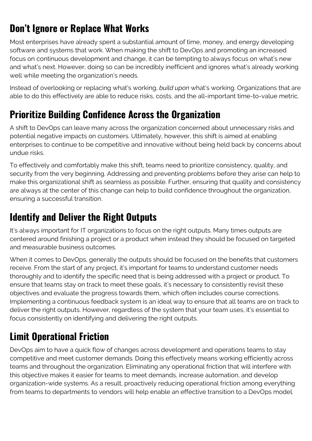# **Don't Ignore or Replace What Works**

Most enterprises have already spent a substantial amount of time, money, and energy developing software and systems that work. When making the shift to DevOps and promoting an increased focus on continuous development and change, it can be tempting to always focus on what's new and what's next. However, doing so can be incredibly inefficient and ignores what's already working well while meeting the organization's needs.

Instead of overlooking or replacing what's working, *build upon* what's working. Organizations that are able to do this effectively are able to reduce risks, costs, and the all-important time-to-value metric.

#### **Prioritize Building Confidence Across the Organization**

A shift to DevOps can leave many across the organization concerned about unnecessary risks and potential negative impacts on customers. Ultimately, however, this shift is aimed at enabling enterprises to continue to be competitive and innovative without being held back by concerns about undue risks.

To effectively and comfortably make this shift, teams need to prioritize consistency, quality, and security from the very beginning. Addressing and preventing problems before they arise can help to make this organizational shift as seamless as possible. Further, ensuring that quality and consistency are always at the center of this change can help to build confidence throughout the organization, ensuring a successful transition.

#### **Identify and Deliver the Right Outputs**

It's always important for IT organizations to focus on the right outputs. Many times outputs are centered around finishing a project or a product when instead they should be focused on targeted and measurable business outcomes.

When it comes to DevOps, generally the outputs should be focused on the benefits that customers receive. From the start of any project, it's important for teams to understand customer needs thoroughly and to identify the specific need that is being addressed with a project or product. To ensure that teams stay on track to meet these goals, it's necessary to consistently revisit these objectives and evaluate the progress towards them, which often includes course corrections. Implementing a continuous feedback system is an ideal way to ensure that all teams are on track to deliver the right outputs. However, regardless of the system that your team uses, it's essential to focus consistently on identifying and delivering the right outputs.

# **Limit Operational Friction**

DevOps aim to have a quick flow of changes across development and operations teams to stay competitive and meet customer demands. Doing this effectively means working efficiently across teams and throughout the organization. Eliminating any operational friction that will interfere with this objective makes it easier for teams to meet demands, increase automation, and develop organization-wide systems. As a result, proactively reducing operational friction among everything from teams to departments to vendors will help enable an effective transition to a DevOps model.